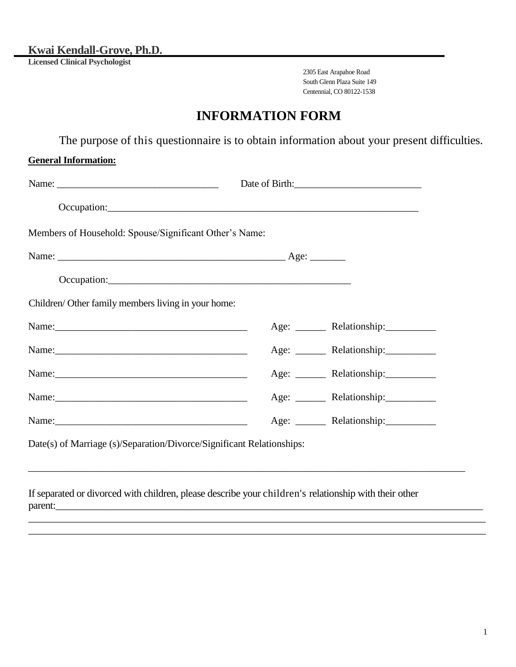**Kwai Kendall-Grove, Ph.D.**

**Licensed Clinical Psychologist**

2305 East Arapahoe Road South Glenn Plaza Suite 149 Centennial, CO 80122-1538

## **INFORMATION FORM**

The purpose of this questionnaire is to obtain information about your present difficulties.

| <b>General Information:</b> |
|-----------------------------|
|                             |

| Members of Household: Spouse/Significant Other's Name:<br>Children/ Other family members living in your home:<br>Age: _________ Relationship: ______________<br>Name: 2008. [2016] Name: 2008. [2016] Name: 2008. [2016] Name: 2008. [2016] Name: 2008. [2016] Name: 2008. [20<br>Age: _________ Relationship: _____________<br>Age: <b>Relationship</b> : <u>New York:</u><br>Age: <b>Relationship</b> : <u>New York:</u><br>Age: _________ Relationship: _____________<br>Date(s) of Marriage (s)/Separation/Divorce/Significant Relationships: | Name: $\frac{1}{\sqrt{1-\frac{1}{2}}\sqrt{1-\frac{1}{2}}\sqrt{1-\frac{1}{2}}\sqrt{1-\frac{1}{2}}\sqrt{1-\frac{1}{2}}\sqrt{1-\frac{1}{2}}\sqrt{1-\frac{1}{2}}\sqrt{1-\frac{1}{2}}\sqrt{1-\frac{1}{2}}\sqrt{1-\frac{1}{2}}\sqrt{1-\frac{1}{2}}\sqrt{1-\frac{1}{2}}\sqrt{1-\frac{1}{2}}\sqrt{1-\frac{1}{2}}\sqrt{1-\frac{1}{2}}\sqrt{1-\frac{1}{2}}\sqrt{1-\frac{1}{2}}\sqrt{1-\frac{1}{2}}\sqrt{1-\frac{1}{2}}$ | Date of Birth: |
|---------------------------------------------------------------------------------------------------------------------------------------------------------------------------------------------------------------------------------------------------------------------------------------------------------------------------------------------------------------------------------------------------------------------------------------------------------------------------------------------------------------------------------------------------|---------------------------------------------------------------------------------------------------------------------------------------------------------------------------------------------------------------------------------------------------------------------------------------------------------------------------------------------------------------------------------------------------------------|----------------|
|                                                                                                                                                                                                                                                                                                                                                                                                                                                                                                                                                   |                                                                                                                                                                                                                                                                                                                                                                                                               |                |
|                                                                                                                                                                                                                                                                                                                                                                                                                                                                                                                                                   |                                                                                                                                                                                                                                                                                                                                                                                                               |                |
|                                                                                                                                                                                                                                                                                                                                                                                                                                                                                                                                                   |                                                                                                                                                                                                                                                                                                                                                                                                               |                |
|                                                                                                                                                                                                                                                                                                                                                                                                                                                                                                                                                   |                                                                                                                                                                                                                                                                                                                                                                                                               |                |
|                                                                                                                                                                                                                                                                                                                                                                                                                                                                                                                                                   |                                                                                                                                                                                                                                                                                                                                                                                                               |                |
|                                                                                                                                                                                                                                                                                                                                                                                                                                                                                                                                                   |                                                                                                                                                                                                                                                                                                                                                                                                               |                |
|                                                                                                                                                                                                                                                                                                                                                                                                                                                                                                                                                   |                                                                                                                                                                                                                                                                                                                                                                                                               |                |
|                                                                                                                                                                                                                                                                                                                                                                                                                                                                                                                                                   |                                                                                                                                                                                                                                                                                                                                                                                                               |                |
|                                                                                                                                                                                                                                                                                                                                                                                                                                                                                                                                                   |                                                                                                                                                                                                                                                                                                                                                                                                               |                |
|                                                                                                                                                                                                                                                                                                                                                                                                                                                                                                                                                   |                                                                                                                                                                                                                                                                                                                                                                                                               |                |
|                                                                                                                                                                                                                                                                                                                                                                                                                                                                                                                                                   |                                                                                                                                                                                                                                                                                                                                                                                                               |                |
|                                                                                                                                                                                                                                                                                                                                                                                                                                                                                                                                                   |                                                                                                                                                                                                                                                                                                                                                                                                               |                |

If separated or divorced with children, please describe your children's relationship with their other parent:\_\_\_\_\_\_\_\_\_\_\_\_\_\_\_\_\_\_\_\_\_\_\_\_\_\_\_\_\_\_\_\_\_\_\_\_\_\_\_\_\_\_\_\_\_\_\_\_\_\_\_\_\_\_\_\_\_\_\_\_\_\_\_\_\_\_\_\_\_\_\_\_\_\_\_\_\_\_\_\_\_\_\_\_\_\_

\_\_\_\_\_\_\_\_\_\_\_\_\_\_\_\_\_\_\_\_\_\_\_\_\_\_\_\_\_\_\_\_\_\_\_\_\_\_\_\_\_\_\_\_\_\_\_\_\_\_\_\_\_\_\_\_\_\_\_\_\_\_\_\_\_\_\_\_\_\_\_\_\_\_\_\_\_\_\_\_\_\_\_\_\_\_\_\_\_\_\_\_ \_\_\_\_\_\_\_\_\_\_\_\_\_\_\_\_\_\_\_\_\_\_\_\_\_\_\_\_\_\_\_\_\_\_\_\_\_\_\_\_\_\_\_\_\_\_\_\_\_\_\_\_\_\_\_\_\_\_\_\_\_\_\_\_\_\_\_\_\_\_\_\_\_\_\_\_\_\_\_\_\_\_\_\_\_\_\_\_\_\_\_\_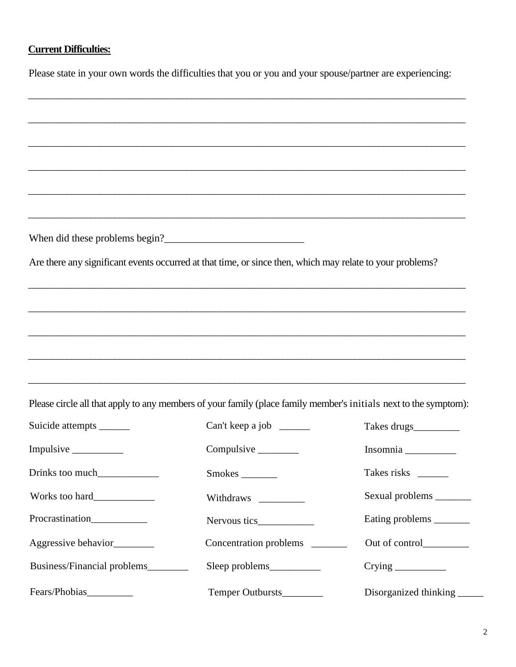## **Current Difficulties:**

Please state in your own words the difficulties that you or you and your spouse/partner are experiencing:

| When did these problems begin?                                                                                   |                                                                                   |                         |
|------------------------------------------------------------------------------------------------------------------|-----------------------------------------------------------------------------------|-------------------------|
| Are there any significant events occurred at that time, or since then, which may relate to your problems?        |                                                                                   |                         |
|                                                                                                                  |                                                                                   |                         |
|                                                                                                                  |                                                                                   |                         |
|                                                                                                                  | ,我们也不能在这里的人,我们也不能在这里的人,我们也不能在这里的人,我们也不能在这里的人,我们也不能在这里的人,我们也不能在这里的人,我们也不能在这里的人,我们也 |                         |
|                                                                                                                  |                                                                                   |                         |
|                                                                                                                  |                                                                                   |                         |
| Please circle all that apply to any members of your family (place family member's initials next to the symptom): |                                                                                   |                         |
| Suicide attempts _______                                                                                         | Can't keep a job _______                                                          | Takes drugs__________   |
| Impulsive                                                                                                        | Compulsive _______                                                                | Insomnia                |
| Drinks too much                                                                                                  |                                                                                   | Takes risks _______     |
| Works too hard_____________                                                                                      | Withdraws __________                                                              | Sexual problems ______  |
| Procrastination_____________                                                                                     | Nervous tics______________                                                        | Eating problems _______ |
| Aggressive behavior________                                                                                      | Concentration problems ______                                                     | Out of control________  |
| Business/Financial problems________                                                                              | Sleep problems___________                                                         |                         |
|                                                                                                                  | Temper Outbursts_______                                                           | Disorganized thinking   |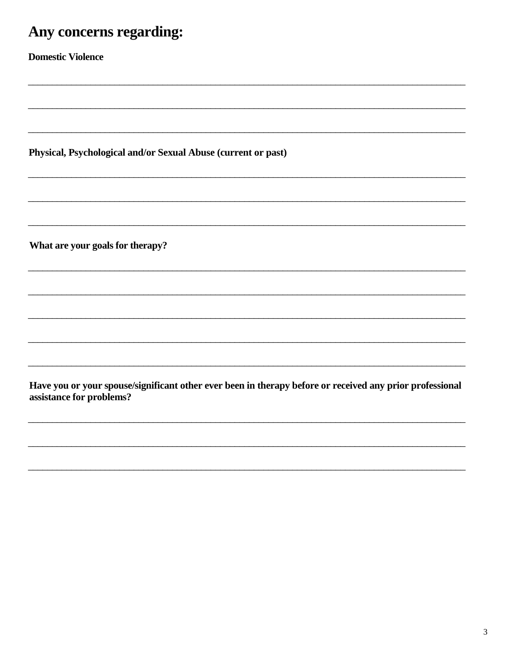# Any concerns regarding:

**Domestic Violence** 

Physical, Psychological and/or Sexual Abuse (current or past)

What are your goals for therapy?

Have you or your spouse/significant other ever been in therapy before or received any prior professional assistance for problems?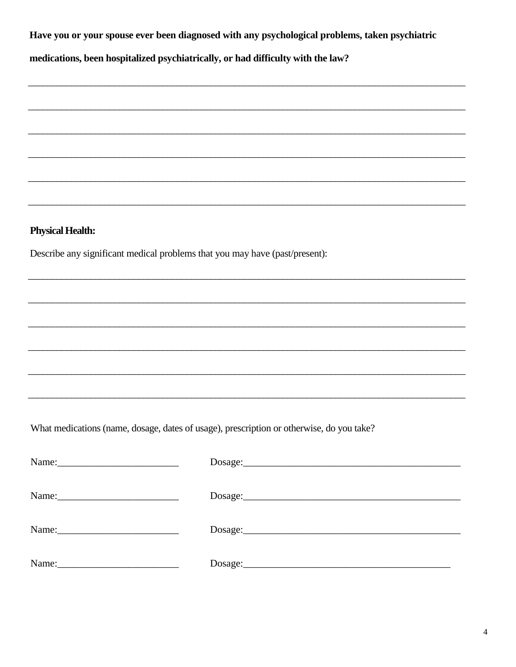Have you or your spouse ever been diagnosed with any psychological problems, taken psychiatric

medications, been hospitalized psychiatrically, or had difficulty with the law?

#### **Physical Health:**

Describe any significant medical problems that you may have (past/present):

What medications (name, dosage, dates of usage), prescription or otherwise, do you take?

| Name: $\frac{1}{\sqrt{1-\frac{1}{2}}}\left\{ \frac{1}{2}, \frac{1}{2}, \frac{1}{2}, \frac{1}{2}, \frac{1}{2}, \frac{1}{2}, \frac{1}{2}, \frac{1}{2}, \frac{1}{2}, \frac{1}{2}, \frac{1}{2}, \frac{1}{2}, \frac{1}{2}, \frac{1}{2}, \frac{1}{2}, \frac{1}{2}, \frac{1}{2}, \frac{1}{2}, \frac{1}{2}, \frac{1}{2}, \frac{1}{2}, \frac{1}{2}, \frac{1}{2}, \frac{1}{2}, \frac{1}{2}, \frac{1}{2}, \frac{1}{2}, \frac{1}{2$ |  |
|-------------------------------------------------------------------------------------------------------------------------------------------------------------------------------------------------------------------------------------------------------------------------------------------------------------------------------------------------------------------------------------------------------------------------|--|
|                                                                                                                                                                                                                                                                                                                                                                                                                         |  |
|                                                                                                                                                                                                                                                                                                                                                                                                                         |  |
|                                                                                                                                                                                                                                                                                                                                                                                                                         |  |
| Name:                                                                                                                                                                                                                                                                                                                                                                                                                   |  |
|                                                                                                                                                                                                                                                                                                                                                                                                                         |  |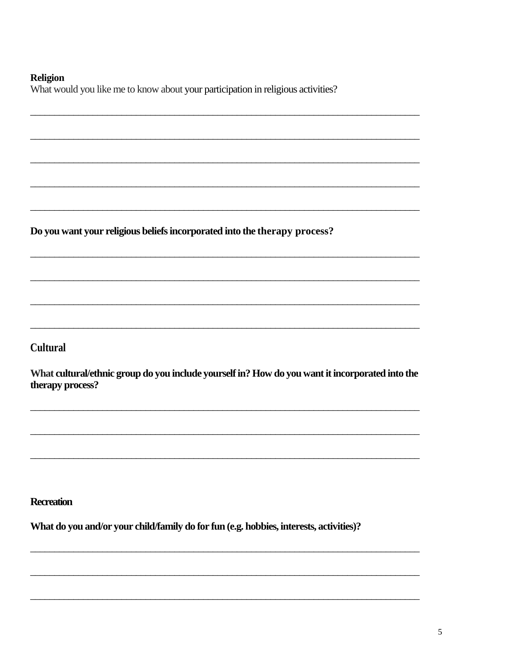#### **Religion**

What would you like me to know about your participation in religious activities?

Do you want your religious beliefs incorporated into the therapy process?

### **Cultural**

What cultural/ethnic group do you include yourself in? How do you want it incorporated into the therapy process?

#### **Recreation**

What do you and/or your child/family do for fun (e.g. hobbies, interests, activities)?